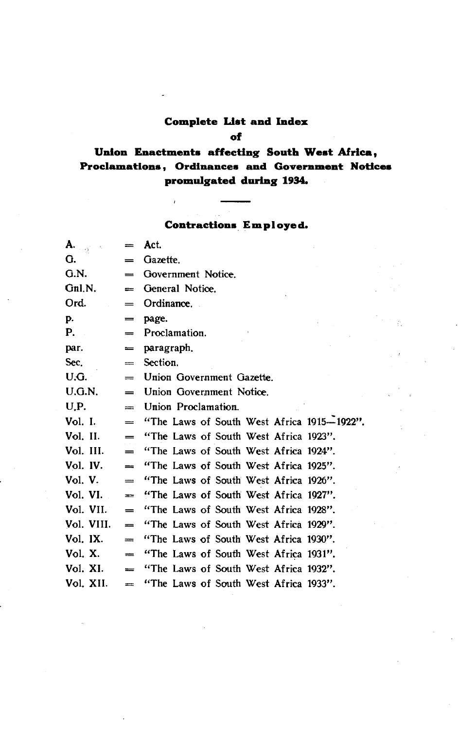# **Complete List and Index**

### **of**

### **Union Enactments affecting South West Africa, Proclamations, Ordinances and Government Notices promulgated during 1934.**

### Contractions **Employed.**

 $\sim \rho_{\rm c}$ 

 $\bar{t}$ 

| $\mathbf{A}_{\mathbf{e}_{\text{c},\text{c},\text{c}}}$ | $=$             | Act.                                       |
|--------------------------------------------------------|-----------------|--------------------------------------------|
| G.                                                     | =               | Gazette.                                   |
| G.N.                                                   | $=$             | Government Notice.                         |
| Gnl.N.                                                 | =               | General Notice.                            |
| Ord.                                                   | $\!\!\!=\!\!\!$ | Ordinance.                                 |
| p.                                                     | $=$             | page.                                      |
| $P_{\rm{max}}$                                         | $=$             | Proclamation.                              |
| par.                                                   | $=$             | paragraph.                                 |
| Sec.                                                   | $=$             | Section.                                   |
| U.G.                                                   | $=$             | Union Government Gazette.                  |
| U.G.N.                                                 | $=$             | Union Government Notice.                   |
| U.P.                                                   | $=$             | Union Proclamation.                        |
| Vol. I.                                                | $=$             | "The Laws of South West Africa 1915-1922". |
| Vol. II.                                               | $=$             | "The Laws of South West Africa 1923".      |
| Vol. III.                                              | $=$             | "The Laws of South West Africa 1924".      |
| Vol. IV.                                               | $=$             | "The Laws of South West Africa 1925".      |
| Vol. V.                                                | $=$             | "The Laws of South West Africa 1926".      |
| Vol. VI.                                               | $=$             | "The Laws of South West Africa 1927".      |
| Vol. VII.                                              | $=$             | "The Laws of South West Africa 1928".      |
| Vol. VIII.                                             | $=$             | "The Laws of South West Africa 1929".      |
| Vol. IX.                                               | $=$             | "The Laws of South West Africa 1930".      |
| Vol. X.                                                | $\equiv$        | "The Laws of South West Africa 1931".      |
| Vol. XI.                                               | $=$             | "The Laws of South West Africa 1932".      |
| Vol. XII.                                              | $\equiv$        | "The Laws of South West Africa 1933".      |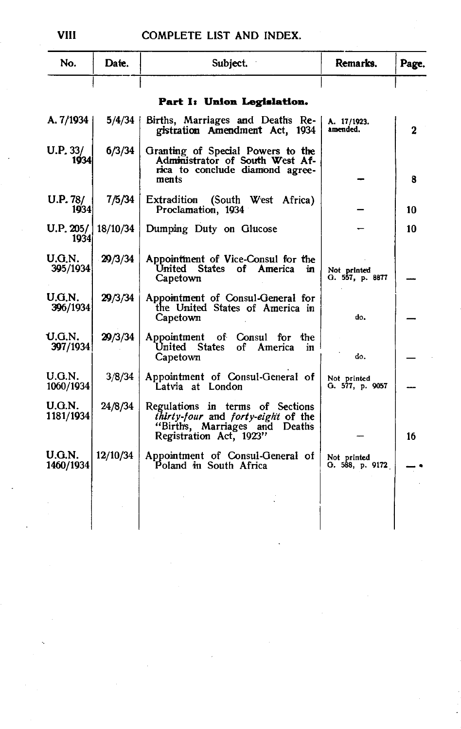| No.                 | Date.    | Subject.                                                                                                                           | Remarks.                       | Page. |
|---------------------|----------|------------------------------------------------------------------------------------------------------------------------------------|--------------------------------|-------|
|                     |          | Part I: Union Legislation.                                                                                                         |                                |       |
| A. $7/1934$         | 5/4/34   | Births, Marriages and Deaths Re-<br>gistration Amendment Act, 1934                                                                 | A. 17/1923.<br>amended.        | 2     |
| U.P. 33/<br>1934    | 6/3/34   | Granting of Special Powers to the<br>Administrator of South West Af-<br>rica to conclude diamond agree-<br>ments                   |                                | 8     |
| U.P. 78/<br>1934    | 7/5/34   | Extradition<br>(South West Africa)<br>Proclamation, 1934                                                                           |                                | 10    |
| U.P. 205/<br>1934   | 18/10/34 | Dumping Duty on Glucose                                                                                                            |                                | 10    |
| U.G.N.<br>395/1934  | 29/3/34  | Appointment of Vice-Consul for the<br>United States of America<br>in<br>Capetown                                                   | Not printed<br>G. 557, p. 8877 |       |
| U.G.N.<br>396/1934  | 29/3/34  | Appointment of Consul-General for<br>the United States of America in<br>Capetown                                                   | do.                            |       |
| U.G.N.<br>397/1934  | 29/3/34  | Appointment of Consul for<br>the<br>United States<br>of America<br>in<br>Capetown                                                  | do.                            |       |
| U.G.N.<br>1060/1934 | 3/8/34   | Appointment of Consul-General of<br>Latvia at London                                                                               | Not printed<br>G. 577, p. 9057 |       |
| U.G.N.<br>1181/1934 | 24/8/34  | Regulations in terms of Sections<br>thirty-four and forty-eight of the<br>"Births, Marriages and Deaths<br>Registration Act, 1923" |                                | 16    |
| U.G.N.<br>1460/1934 | 12/10/34 | Appointment of Consul-General of<br>Poland in South Africa                                                                         | Not printed<br>O. 588, p. 9172 |       |
|                     |          |                                                                                                                                    |                                |       |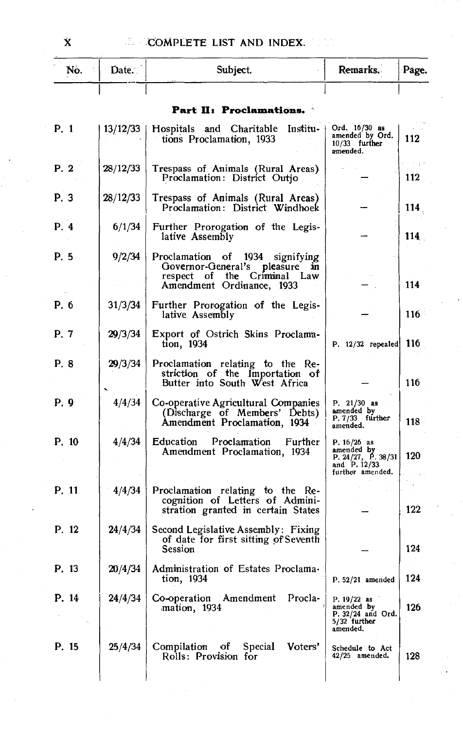| No.   | Date.    | Subject.                                                                                                                          | Remarks.                                                                              | Page. |
|-------|----------|-----------------------------------------------------------------------------------------------------------------------------------|---------------------------------------------------------------------------------------|-------|
|       |          |                                                                                                                                   |                                                                                       |       |
|       |          | Part II: Proclamations.                                                                                                           |                                                                                       |       |
| P. 1  | 13/12/33 | Hospitals and Charitable Institu-<br>tions Proclamation, 1933                                                                     | Ord. $16/30$ as<br>amended by Ord.<br>$10/33$ further<br>amended.                     | 112   |
| P. 2  | 28/12/33 | Trespass of Animals (Rural Areas)<br>Proclamation: District Outjo                                                                 |                                                                                       | 112   |
| P. 3  | 28/12/33 | Trespass of Animals (Rural Areas)<br>Proclamation: District Windhoek                                                              |                                                                                       | 114   |
| P. 4  | 6/1/34   | Further Prorogation of the Legis-<br>lative Assembly                                                                              |                                                                                       | 114   |
| P. 5  | 9/2/34   | Proclamation of 1934 signifying<br>Governor-General's pleasure<br>ĴП.<br>respect of the Criminal Law<br>Amendment Ordinance, 1933 |                                                                                       | 114   |
| P. 6  | 31/3/34  | Further Prorogation of the Legis-<br>lative Assembly                                                                              |                                                                                       | 116   |
| P. 7  | 29/3/34  | Export of Ostrich Skins Proclama-<br>tion, 1934                                                                                   | $P. 12/32$ repealed                                                                   | 116 I |
| P. 8  | 29/3/34  | Proclamation relating to the Re-<br>striction of the Importation of<br>Butter into South West Africa                              |                                                                                       | 116   |
| P. 9  | 4/4/34   | Co-operative Agricultural Companies<br>(Discharge of Members' Debts)<br>Amendment Proclamation, 1934                              | P. $21/30$ as<br>amended by<br>P. 7/33 further<br>amended.                            | 118   |
| P. 10 | 4/4/34   | Education Proclamation Further<br>Amendment Proclamation, 1934                                                                    | P. $16/26$ as<br>amended by<br>P. 24/27, P. 38/31<br>and P. 12/33<br>further amended. | 120   |
| P. 11 | 4/4/34   | Proclamation relating to the Re-<br>cognition of Letters of Admini-<br>stration granted in certain States                         |                                                                                       | 122   |
| P. 12 | 24/4/34  | Second Legislative Assembly: Fixing<br>of date for first sitting of Seventh<br>Session                                            |                                                                                       | 124   |
| P. 13 |          | 20/4/34   Administration of Estates Proclama-<br>tion, 1934                                                                       | P. 52/21 amended                                                                      | 124   |
| P. 14 | 24/4/34  | Co-operation Amendment Procla-<br>mation, 1934                                                                                    | $P. 19/22$ as<br>amended by<br>P. 32/24 and Ord.<br>5/32 further<br>amended.          | 126   |
| P. 15 | 25/4/34  | Compilation of Special<br>Voters'<br>Rolls: Provision for                                                                         | Schedule to Act<br>$42/25$ amended.                                                   | 128   |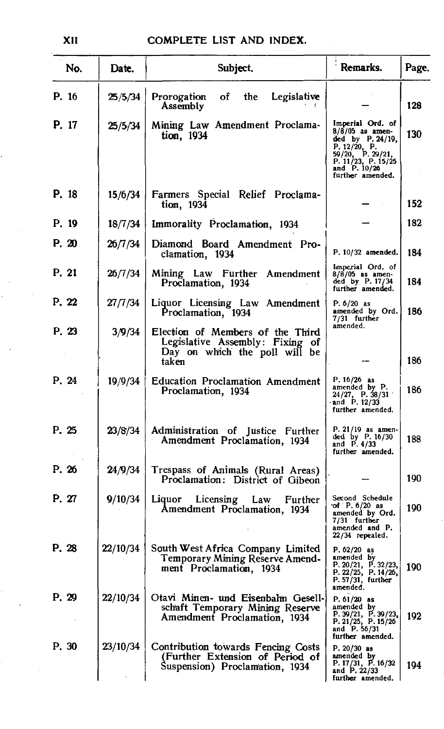| No.   | Date.    | Subject.                                                                                                      | Remarks.                                                                                                                                                   | Page. |
|-------|----------|---------------------------------------------------------------------------------------------------------------|------------------------------------------------------------------------------------------------------------------------------------------------------------|-------|
| P. 16 | 25/5/34  | Prorogation<br>of<br>the.<br>Legislative<br>Assembly                                                          |                                                                                                                                                            | 128   |
| P. 17 | 25/5/34  | Mining Law Amendment Proclama-<br>tion, 1934                                                                  | Imperial Ord. of<br>$8/8/05$ as amen-<br>ded by P. 24/19,<br>P. $12/20$ , P.<br>59/20, P. 29/21,<br>P. 11/23, P. 15/25<br>and P. 10/26<br>further amended. | 130   |
| P. 18 | 15/6/34  | Farmers Special Relief Proclama-<br>tion, 1934                                                                |                                                                                                                                                            | 152   |
| P. 19 | 18/7/34  | Immorality Proclamation, 1934                                                                                 |                                                                                                                                                            | 182   |
| P. 20 | 26/7/34  | Diamond Board Amendment Pro-<br>clamation, 1934                                                               | P. 10/32 amended.                                                                                                                                          | 184   |
| P. 21 | 26/7/34  | Mining Law Further Amendment<br>Proclamation, 1934                                                            | Imperial Ord. of<br>$8/8/05$ as amen-<br>ded by P. 17/34<br>further amended.                                                                               | 184   |
| P. 22 | 27/7/34  | Liquor Licensing Law Amendment<br>Proclamation, 1934                                                          | P. 6/20 as<br>amended by Ord.<br>7/31 further                                                                                                              | 186   |
| P. 23 | 3/9/34   | Election of Members of the Third<br>Legislative Assembly: Fixing of<br>Day on which the poll will be<br>taken | amended.                                                                                                                                                   | 186   |
| P. 24 | 19/9/34  | <b>Education Proclamation Amendment</b><br>Proclamation, 1934                                                 | $P. 16/26$ as<br>amended by P.<br>$24/27$ , P. 38/31<br>and $P. 12/33$<br>further amended.                                                                 | 186   |
| P. 25 | 23/8/34  | Administration of Justice Further<br>Amendment Proclamation, 1934                                             | P. 21/19 as amen-<br>ded by P. 16/30<br>and P. 4/33<br>further amended.                                                                                    | 188   |
| P. 26 | 24/9/34  | Trespass of Animals (Rural Areas)<br>Proclamation: District of Gibeon                                         |                                                                                                                                                            | 190   |
| P. 27 | 9/10/34  | Liquor Licensing Law<br>Further<br>Amendment Proclamation, 1934                                               | Second Schedule<br>of $P. 6/20$ as<br>amended by Ord.<br>7/31 further<br>amended and P.<br>$22/34$ repealed.                                               | 190   |
| P. 28 | 22/10/34 | South West Africa Company Limited<br>Temporary Mining Reserve Amend-<br>ment Proclamation, 1934               | $P. 62/20$ as<br>amended by<br>P. 20/21, P. 32/23,<br>P. 22/25, P. 14/26,<br>$P. 57/31$ , further<br>amended.                                              | 190   |
| P. 29 | 22/10/34 | Otavi Minen- und Eisenbahn Gesell-<br>schaft Temporary Mining Reserve<br>Amendment Proclamation, 1934         | P. 61/20 as<br>amended by<br>P. 39/21, P. 39/23, P. 21/25, P. 15/26<br>and P. 56/31<br>further amended.                                                    | 192   |
| P. 30 | 23/10/34 | Contribution towards Fencing Costs<br>(Further Extension of Period of<br>Suspension) Proclamation, 1934       | $P. 20/30$ as<br>amended by<br>P. 17/31, P. 16/32<br>and $P. 22/33$<br>further amended.                                                                    | 194   |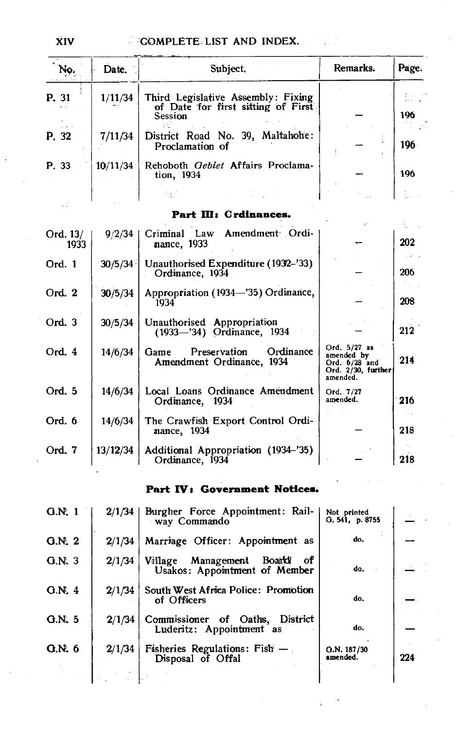| No.              | Date.    | Subject.                                                                            | Remarks.                                                                        | Page.   |
|------------------|----------|-------------------------------------------------------------------------------------|---------------------------------------------------------------------------------|---------|
| P. 31            | 1/11/34  | Third Legislative Assembly: Fixing<br>of Date for first sitting of First<br>Session |                                                                                 | 196     |
| P. 32            | 7/11/34  | District Road No. 39, Maltahohe:<br>Proclamation of                                 |                                                                                 | $196 -$ |
| P. 33            | 10/11/34 | Rehoboth Gebiet Affairs Proclama-<br>tion, 1934                                     |                                                                                 | 196     |
|                  |          |                                                                                     |                                                                                 |         |
|                  |          | Part III: Crdinances.                                                               |                                                                                 |         |
| Ord. 13/<br>1933 | 9/2/34   | Criminal Law Amendment Ordi-<br>nance, 1933                                         |                                                                                 | 202     |
| Ord. 1           | 30/5/34  | Unauthorised Expenditure (1932–'33)<br>Ordinance, 1934                              |                                                                                 | 206     |
| Ord. 2           | 30/5/34  | Appropriation (1934-'35) Ordinance,<br>1934                                         |                                                                                 | 208     |
| Ord. 3           | 30/5/34  | Unauthorised Appropriation<br>(1933-'34) Ordinance, 1934                            |                                                                                 | 212     |
| Ord. 4           | 14/6/34  | Ordinance<br>Preservation<br>Game<br>Amendment Ordinance, 1934                      | Ord. 5/27 as<br>amended by<br>$Ord. 6/28$ and<br>Ord. 2/30, further<br>amended. | 214     |
| Ord. 5           | 14/6/34  | Local Loans Ordinance Amendment<br>Ordinance, 1934                                  | Ord. 7/27<br>amended.                                                           | 216     |
| Ord. 6           | 14/6/34  | The Crawfish Export Control Ordi-<br>nance、1934                                     |                                                                                 | 218     |
| Ord. 7           | 13/12/34 | Additional Appropriation (1934-'35)<br>Ordinance, 1934                              |                                                                                 | 218     |

### Part IV: Government Notices.

| G.N. 1 | $2/1/34$ | Burgher Force Appointment: Rail-<br>way Commando                      | Not printed<br>0.541, p.8755 |     |
|--------|----------|-----------------------------------------------------------------------|------------------------------|-----|
| G.N. 2 | 2/1/34   | Marriage Officer: Appointment as                                      | do.                          |     |
| G.N.3  | 2/1/34   | Boarldf<br>Village Management<br>of.<br>Usakos: Appointment of Member | do.                          |     |
| G.N.4  | 2/1/34   | South West Africa Police: Promotion<br>of Officers                    | do.                          |     |
| G.N.5  | 2/1/34   | Commissioner of Oaths, District<br>Luderitz: Appointment as           | do.                          |     |
| Q.N.6  | 2/1/34   | Fisheries Regulations: Fish -<br>Disposal of Offal                    | Q.N. 187/30<br>amended.      | 224 |
|        |          |                                                                       |                              |     |

XIV.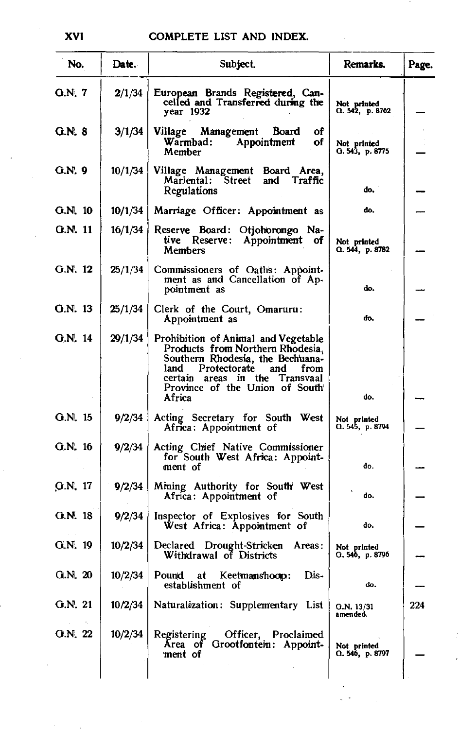| No.           | Date.   | Subject.                                                                                                                                                                                                                         | Remarks.                       | Page. |
|---------------|---------|----------------------------------------------------------------------------------------------------------------------------------------------------------------------------------------------------------------------------------|--------------------------------|-------|
| <b>G.N. 7</b> | 2/1/34  | European Brands Registered, Can-<br>celled and Transferred during the<br>year 1932                                                                                                                                               | Not printed<br>G. 542, p. 8762 |       |
| <b>G.N. 8</b> | 3/1/34  | Village Management Board<br>Οf<br>Warmbad:<br>Appointment<br>of<br>Member                                                                                                                                                        | Not printed<br>Q. 543, p. 8775 |       |
| G.N. 9        | 10/1/34 | Village Management Board Area,<br>Mariental: Street<br>and Traffic<br>Regulations                                                                                                                                                | do,                            |       |
| $G.N.$ 10     | 10/1/34 | Marriage Officer: Appointment as                                                                                                                                                                                                 | do.                            |       |
| G.N. 11       | 16/1/34 | Reserve Board: Otjohorongo Na-<br>tive Reserve: Appointment of<br>Members                                                                                                                                                        | Not printed<br>G. 544, p. 8782 |       |
| G.N. 12       | 25/1/34 | Commissioners of Oaths: Appoint-<br>ment as and Cancellation of Ap-<br>pointment as                                                                                                                                              | do.                            |       |
| G.N. 13       | 25/1/34 | Clerk of the Court, Omaruru:<br>Appointment as                                                                                                                                                                                   | do.                            |       |
| G.N. 14       | 29/1/34 | Prohibition of Animal and Vegetable<br>Products from Northern Rhodesia,<br>Southern Rhodesia, the Bechuana-<br>Protectorate<br>and<br>land<br>from<br>certain areas in the Transvaal<br>Province of the Union of South<br>Africa | do.                            |       |
| G.N. 15       | 9/2/34  | Acting Secretary for South West<br>Africa: Appointment of                                                                                                                                                                        | Not printed<br>Q. 545, p. 8794 |       |
| G.N. 16       | 9/2/34  | Acting Chief Native Commissioner<br>for South West Africa: Appoint-<br>ment of                                                                                                                                                   | do.                            |       |
| $G.N.$ 17     | 9/2/34  | Mining Authority for South West<br>Africa: Appointment of                                                                                                                                                                        | d٥.                            |       |
| G.N. 18       | 9/2/34  | Inspector of Explosives for South<br>West Africa: Appointment of                                                                                                                                                                 | do.                            |       |
| $G.N.$ 19     | 10/2/34 | Declared Drought-Stricken<br>Areas:<br>Withdrawal of Districts                                                                                                                                                                   | Not printed<br>G. 546, p. 8796 |       |
| Q.N. 20       | 10/2/34 | Pound at<br>Keetmanshoop:<br>Dis -<br>establishment of                                                                                                                                                                           | do.                            |       |
| G.N. 21       | 10/2/34 | Naturalization: Supplementary List                                                                                                                                                                                               | G.N. 13/31<br>amended.         | 224   |
| O.N. 22       | 10/2/34 | Registering<br>Officer, Proclaimed<br>Area of Grootfontein: Appoint-<br>ment of                                                                                                                                                  | Not printed<br>G. 546, p. 8797 |       |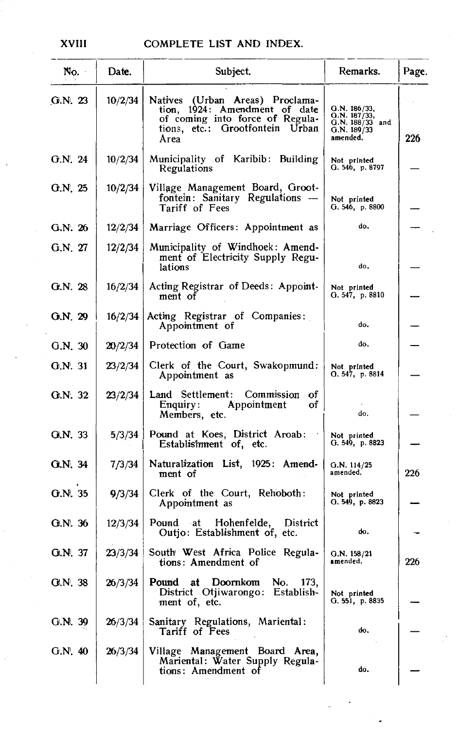| No.     | Date.   | Subject.                                                                                                                                       | Remarks.                                                                     | Page. |
|---------|---------|------------------------------------------------------------------------------------------------------------------------------------------------|------------------------------------------------------------------------------|-------|
| G.N.23  | 10/2/34 | Natives (Urban Areas) Proclama-<br>tion, 1924: Amendment of date<br>of coming into force of Regula-<br>tions, etc.: Grootfontein Urban<br>Area | G.N. 186/33,<br>O.N. 187/33,<br>$G.N. 188/33$ and<br>G.N. 189/33<br>amended. | 226   |
| G.N. 24 | 10/2/34 | Municipality of Karibib: Building<br>Regulations                                                                                               | Not printed<br>G. 546, p. 8797                                               |       |
| G.N. 25 | 10/2/34 | Village Management Board, Groot-<br>fontein: Sanitary Regulations -<br>Tariff of Fees                                                          | Not printed<br>G.546, p.8800                                                 |       |
| G.N. 26 | 12/2/34 | Marriage Officers: Appointment as                                                                                                              | do.                                                                          |       |
| G.N. 27 | 12/2/34 | Municipality of Windhoek: Amend-<br>ment of Electricity Supply Regu-<br>lations                                                                | do.                                                                          |       |
| G.N. 28 | 16/2/34 | Acting Registrar of Deeds: Appoint-<br>ment of                                                                                                 | Not printed<br>G. $547$ , p. 8810                                            |       |
| G.N.29  | 16/2/34 | Acting Registrar of Companies:<br>Appointment of                                                                                               | do.                                                                          |       |
| G.N. 30 | 20/2/34 | Protection of Game                                                                                                                             | do.                                                                          |       |
| G.N. 31 | 23/2/34 | Clerk of the Court, Swakopmund:<br>Appointment as                                                                                              | Not printed<br>G. 547, p. 8814                                               |       |
| Q.N. 32 | 23/2/34 | Land Settlement: Commission<br>ΟŤ<br>Enquiry:<br>Appointment<br>οf<br>Members, etc.                                                            | do.                                                                          |       |
| G.N. 33 | 5/3/34  | Pound at Koes, District Aroab:<br>Establishment of, etc.                                                                                       | Not printed<br>G. 549, p. 8823                                               |       |
| G.N. 34 | 7/3/34  | Naturalization List, 1925: Amend-<br>ment of                                                                                                   | G.N. 114/25<br>amended.                                                      | 226   |
| G.N. 35 | 9/3/34  | Clerk of the Court, Rehoboth:<br>Appointment as                                                                                                | Not printed<br>O.549, p.8823                                                 |       |
| QN.36   | 12/3/34 | Pound at Hohenfelde, District<br>Outjo: Establishment of, etc.                                                                                 | do.                                                                          |       |
| GLN: 37 | 23/3/34 | South West Africa Police Regula-<br>tions: Amendment of                                                                                        | G.N. 158/21<br>amended.                                                      | 226   |
| G.N. 38 | 26/3/34 | Pound at<br>Doornkom<br>No.<br>173,<br>District Otjiwarongo:<br>Establish-<br>ment of, etc.                                                    | Not printed<br>G. 551, p. 8835                                               |       |
| G.N. 39 | 26/3/34 | Sanitary Regulations, Mariental:<br>Tariff of Fees                                                                                             | do.                                                                          |       |
| G.N.40  | 26/3/34 | Village Management Board Area,<br>Mariental: Water Supply Regula-<br>tions: Amendment of                                                       | do.                                                                          |       |

XVIII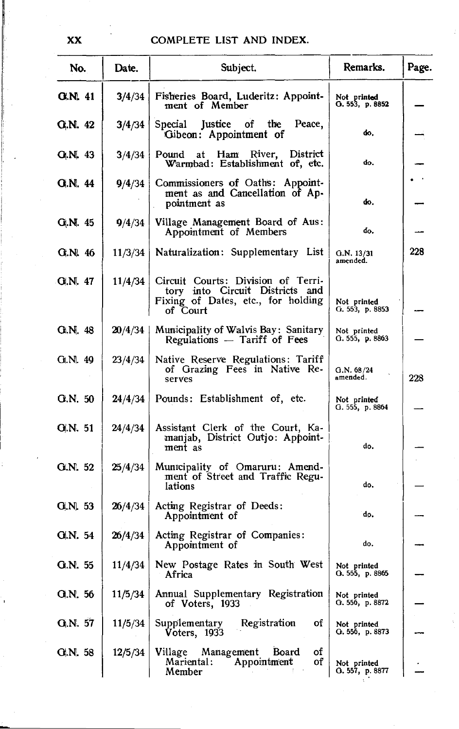| No.            | Date.   | Subject.                                                                                                                | Remarks.                       | Page. |
|----------------|---------|-------------------------------------------------------------------------------------------------------------------------|--------------------------------|-------|
| <b>G.N. 41</b> | 3/4/34  | Fisheries Board, Luderitz: Appoint-<br>ment of Member                                                                   | Not printed<br>O.553, p.8852   |       |
| G.N. 42        | 3/4/34  | Special Justice of the<br>Peace,<br>Gibeon: Appointment of                                                              | do.                            |       |
| $G_1 N_1 43$   | 3/4/34  | Pound at Ham River, District<br>Warmbad: Establishment of, etc.                                                         | do.                            |       |
| <b>G.N. 44</b> | 9/4/34  | Commissioners of Oaths: Appoint-<br>ment as and Cancellation of Ap-<br>pointment as                                     | do.                            |       |
| G.N. 45        | 9/4/34  | Village Management Board of Aus:<br>Appointment of Members                                                              | do.                            |       |
| G.N. 46        | 11/3/34 | Naturalization: Supplementary List                                                                                      | G.N. 13/31<br>amended.         | 228   |
| GI.N. 47       | 11/4/34 | Circuit Courts: Division of Terri-<br>tory into Circuit Districts and<br>Fixing of Dates, etc., for holding<br>of Court | Not printed<br>G. 553, p. 8853 |       |
| Gi.N. 48       | 20/4/34 | Municipality of Walvis Bay: Sanitary<br>Regulations - Tariff of Fees                                                    | Not printed<br>G.555, p.8863   |       |
| Gt.Nl. 49      | 23/4/34 | Native Reserve Regulations: Tariff<br>of Grazing Fees in Native Re-<br>serves                                           | Q.N. 68/24<br>amended.         | 228   |
| G.N. 50        | 24/4/34 | Pounds: Establishment of, etc.                                                                                          | Not printed<br>G. 555, p. 8864 |       |
| <b>G.N. 51</b> | 24/4/34 | Assistant Clerk of the Court, Ka-<br>manjab, District Outjo: Appoint-<br>ment as                                        | do.                            |       |
| G.N. 52        | 25/4/34 | Municipality of Omaruru: Amend-<br>ment of Street and Traffic Regu-<br>lations                                          | do.                            |       |
| G.N. 53        | 26/4/34 | Acting Registrar of Deeds:<br>Appointment of                                                                            | do,                            |       |
| G.N. 54        | 26/4/34 | Acting Registrar of Companies:<br>Appointment of                                                                        | do.                            |       |
| G.N. 55        | 11/4/34 | New Postage Rates in South West<br>Africa                                                                               | Not printed<br>O.555, p.8865   |       |
| G.N. 56        | 11/5/34 | Annual Supplementary Registration<br>of Voters, 1933                                                                    | Not printed<br>O.556, p.8872   |       |
| Q.N. 57        | 11/5/34 | Registration<br>Supplementary<br>οf<br>Voters, 1933                                                                     | Not printed<br>Q. 556, p. 8873 |       |
| G.N. 58        | 12/5/34 | οf<br>Village Management<br>Board<br>Appointment<br>οf<br>Mariental :<br>Member                                         | Not printed<br>G.557, p.8877   |       |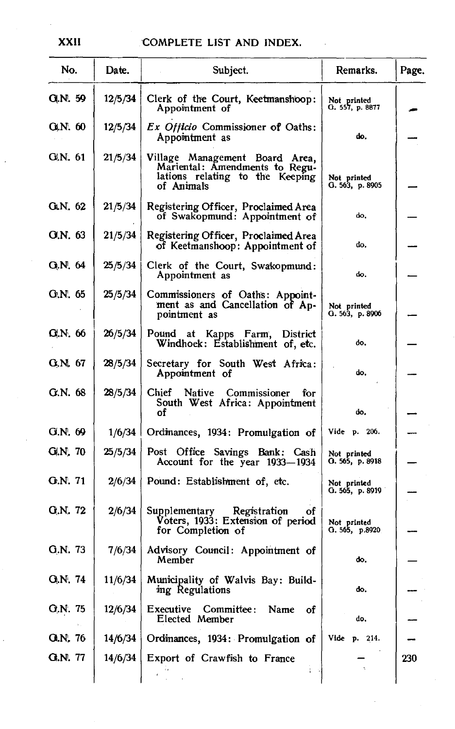$\sim$   $\sim$ 

| No.            | Date.   | Subject.                                                                                                          | Remarks.                       | Page. |
|----------------|---------|-------------------------------------------------------------------------------------------------------------------|--------------------------------|-------|
| G.N. 59        | 12/5/34 | Clerk of the Court, Keetmanshoop:<br>Appointment of                                                               | Not printed<br>G. 557, p. 8877 |       |
| G.N. 60        | 12/5/34 | <i>Ex Officio</i> Commissioner of Oaths:<br>Appointment as                                                        | do.                            |       |
| G.N. 61        | 21/5/34 | Village Management Board Area,<br>Mariental: Amendments to Regu-<br>lations relating to the Keeping<br>of Animals | Not printed<br>G. 563, p. 8905 |       |
| G.N. 62        | 21/5/34 | Registering Officer, Proclaimed Area<br>of Swakopmund: Appointment of                                             | do.                            |       |
| G.N. 63        | 21/5/34 | Registering Officer, Proclaimed Area<br>of Keetmanshoop: Appointment of                                           | do.                            |       |
| G.N. 64        | 25/5/34 | Clerk of the Court, Swakopmund:<br>Appointment as                                                                 | do.                            |       |
| G.N. 65        | 25/5/34 | Commissioners of Oaths: Appoint-<br>ment as and Cancellation of Ap-<br>pointment as                               | Not printed<br>Q.563, p.8906   |       |
| G.N. 66        | 26/5/34 | Pound at Kapps Farm, District<br>Windhoek: Establishment of, etc.                                                 | do.                            |       |
| G.N. 67        | 28/5/34 | Secretary for South West Africa:<br>Appointment of                                                                | do.                            |       |
| G.N. 68        | 28/5/34 | Chief<br><b>Native</b><br>Commissioner<br>for<br>South West Africa: Appointment<br>οf                             | do.                            |       |
| G.N. 69        | 1/6/34  | Ordinances, 1934: Promulgation of                                                                                 | Vide p. 206.                   |       |
| G.N. 70        | 25/5/34 | Post Office Savings Bank: Cash<br>Account for the year 1933-1934                                                  | Not printed<br>O. 565, p. 8918 |       |
| G.N. 71        | 2/6/34  | Pound: Establishment of, etc.                                                                                     | Not printed<br>O. 565, p. 8919 |       |
| G.N. 72        | 2/6/34  | Supplementary Registration<br>οf<br>Voters, 1933: Extension of period<br>for Completion of                        | Not printed<br>O.565, p.8920   |       |
| G.N. 73        | 7/6/34  | Advisory Council: Appointment of<br>Member                                                                        | do,                            |       |
| Q.N. 74        | 11/6/34 | Municipality of Walvis Bay: Build-<br>ing Regulations                                                             | do.                            |       |
| G.N. 75        | 12/6/34 | Name<br>Executive<br>Committee:<br>οf<br>Elected Member                                                           | do,                            |       |
| <b>G.N. 76</b> | 14/6/34 | Ordinances, 1934: Promulgation of                                                                                 | Vide p. 214.                   |       |
| G.N. 77        | 14/6/34 | Export of Crawfish to France                                                                                      |                                | 230   |

**XXII** 

J.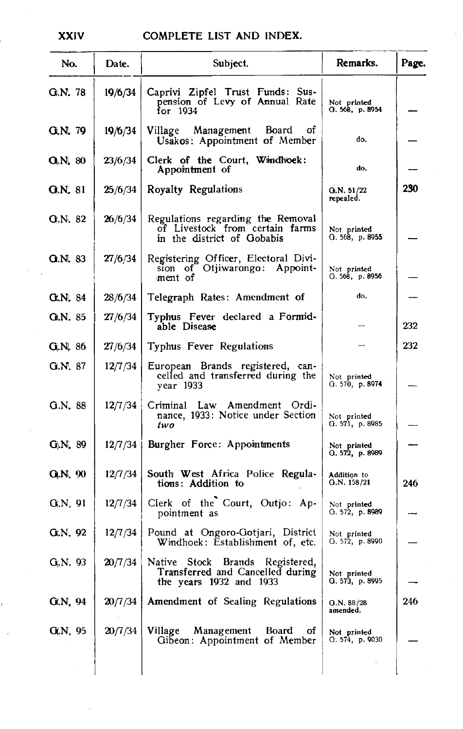| No.                 | Date.   | Subject.                                                                                               | Remarks.                          | Page. |
|---------------------|---------|--------------------------------------------------------------------------------------------------------|-----------------------------------|-------|
| G.N. 78             | 19/6/34 | Caprivi Zipfel Trust Funds: Sus-<br>pension of Levy of Annual Rate<br>for 1934                         | Not printed<br>O.568, p.8954      |       |
| <b>G.N. 79</b>      | 19/6/34 | Village Management Board of<br>Usakos: Appointment of Member                                           | do.                               |       |
| O(N <sub>k</sub> 80 | 23/6/34 | Clerk of the Court, Windhoek:<br>Appointment of                                                        | do.                               |       |
| <b>G.N. 81</b>      | 25/6/34 | Royalty Regulations                                                                                    | $Q_nN.51/22$<br>repealed.         | 230   |
| G.N. 82             | 26/6/34 | Regulations regarding the Removal<br>of Livestock from certain farms<br>in the district of Gobabis     | Not printed<br>G. 568, p. 8955    |       |
| <b>G.N. 83</b>      | 27/6/34 | Registering Officer, Electoral Divi-<br>sion of Otjiwarongo: Appoint-<br>ment of                       | Not printed<br>G. 568, p. 8956    |       |
| <b>G.N. 84</b>      | 28/6/34 | Telegraph Rates: Amendment of                                                                          | do.                               |       |
| QN.85               | 27/6/34 | Typhus Fever declared a Formid-<br>able Disease                                                        |                                   | 232   |
| G.N. 86             | 27/6/34 | Typhus Fever Regulations                                                                               |                                   | 232   |
| G.N. 87             | 12/7/34 | European Brands registered, can-<br>celled and transferred during the<br>year 1933                     | Not printed<br>G.570, p.8974      |       |
| G.N. 88             | 12/7/34 | Criminal Law Amendment Ordi-<br>nance, 1933: Notice under Section<br>two                               | Not printed<br>G. 571, p. 8985    |       |
| G.N. 89             | 12/7/34 | Burgher Force: Appointments                                                                            | Not printed<br>G.572, p.8989      |       |
| <b>G.N. 90</b>      | 12/7/34 | South West Africa Police Regula-<br>tions: Addition to                                                 | <b>Addition</b> to<br>G.N. 158/21 | 246   |
| G.N.91              | 12/7/34 | Clerk of the Court, Outjo: Ap-<br>pointment as                                                         | Not printed<br>G. 572, p. 8989    |       |
| G.N. 92             | 12/7/34 | Pound at Ongoro-Gotjari, District<br>Windhoek: Establishment of, etc.                                  | Not printed<br>G. 572, p. 8990    |       |
| G.N. 93             |         | 20/7/34 Native Stock Brands Registered,<br>Transferred and Cancelled during<br>the years 1932 and 1933 | Not printed<br>G. 573, p. 8995    |       |
| G.N. 94             | 20/7/34 | Amendment of Sealing Regulations                                                                       | G.N. 88/28<br>amended.            | 246   |
| G.N. 95             | 20/7/34 | Village<br>Management<br><b>Board</b><br>οf<br>Gibeon: Appointment of Member                           | Not printed<br>G.574, p.9030      |       |
|                     |         |                                                                                                        |                                   |       |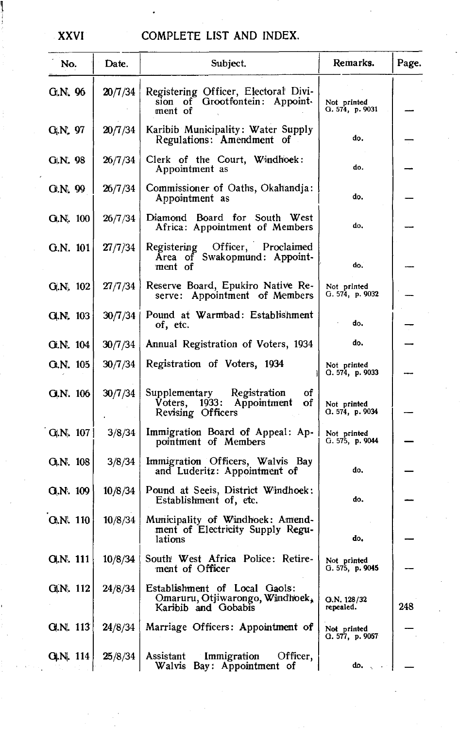## XXVI

## COMPLETE LIST AND INDEX.

| No.             | Date.   | Subject.                                                                                    | Remarks.                       | Page. |
|-----------------|---------|---------------------------------------------------------------------------------------------|--------------------------------|-------|
| G.N. 96         | 20/7/34 | Registering Officer, Electoral Divi-<br>Grootfontein: Appoint-<br>sion of<br>ment of        | Not printed<br>G. 574, p. 9031 |       |
| G.N. 97         | 20/7/34 | Karibib Municipality: Water Supply<br>Regulations: Amendment of                             | do.                            |       |
| G.N. 98         | 26/7/34 | Clerk of the Court, Windhoek:<br>Appointment as                                             | do.                            |       |
| G.N. 99         | 26/7/34 | Commissioner of Oaths, Okahandja:<br>Appointment as                                         | do.                            |       |
| Q, N, 100       | 26/7/34 | Diamond Board for South West<br>Africa: Appointment of Members                              | do,                            |       |
| Q.N. 101        | 27/7/34 | Officer, Proclaimed<br>Registering<br>Area of Swakopmund: Appoint-<br>ment of               | do.                            |       |
| G.N. 102        | 27/7/34 | Reserve Board, Epukiro Native Re-<br>Appointment of Members<br>serve:                       | Not printed<br>G. 574, p. 9032 |       |
| G.N. 103        | 30/7/34 | Pound at Warmbad: Establishment<br>of, etc.                                                 | do.                            |       |
| G.N. 104        | 30/7/34 | Annual Registration of Voters, 1934                                                         | do.                            |       |
| G.N. 105        | 30/7/34 | Registration of Voters, 1934                                                                | Not printed<br>G. 574, p. 9033 |       |
| G.N. 106        | 30/7/34 | Supplementary Registration<br>of<br>1933: Appointment<br>Voters,<br>οf<br>Revising Officers | Not printed<br>Q.574, p.9034   |       |
| Q(N, 107)       | 3/8/34  | Immigration Board of Appeal: Ap-<br>pointment of Members                                    | Not printed<br>G. 575, p. 9044 |       |
| G.N. 108        | 3/8/34  | Immigration Officers, Walvis Bay<br>and Luderitz: Appointment of                            | do.                            |       |
| Q.N. 109        | 10/8/34 | Pound at Seeis, District Windhoek:<br>Establishment of, etc.                                | do.                            |       |
| <b>O.N. 110</b> | 10/8/34 | Municipality of Windhoek: Amend-<br>ment of Electricity Supply Regu-<br>lations             | do.                            |       |
| O(N. 111)       |         | 10/8/34   South West Africa Police: Retire-<br>ment of Officer                              | Not printed<br>G. 575, p. 9045 |       |
| GIN. 112        | 24/8/34 | Establishment of Local Gaols:<br>Omaruru, Otjiwarongo, Windhoek,<br>Karibib and Gobabis     | O.N. 128/32<br>repealed.       | 248   |
| G.N. 113        | 24/8/34 | Marriage Officers: Appointment of                                                           | Not printed<br>Q.577, p.9057   |       |
| QIN, 114        | 25/8/34 | Assistant<br>Immigration<br>Officer,<br>Walvis Bay: Appointment of                          | do.,                           |       |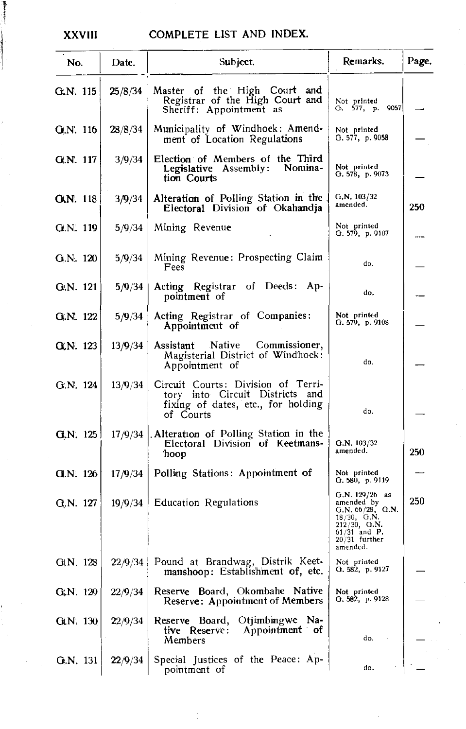t i

### XXVIII COMPLETE LIST AND INDEX.

| No.            | Date.   | Subject.                                                                                                                    | Remarks.                                                                                                                            | Page. |
|----------------|---------|-----------------------------------------------------------------------------------------------------------------------------|-------------------------------------------------------------------------------------------------------------------------------------|-------|
| G.N. 115       | 25/8/34 | Master of the High Court and<br>Registrar of the High Court and<br>Sheriff: Appointment as                                  | Not printed<br>O. 577, p. 9057                                                                                                      |       |
| G.N. 116       | 28/8/34 | Municipality of Windhoek: Amend-<br>ment of Location Regulations                                                            | Not printed<br>G. 577, p. 9058                                                                                                      |       |
| G.N. 117       | 3/9/34  | Election of Members of the Third<br>Legislative Assembly: Nomina-<br>tion Courts                                            | Not printed<br>G. 578, p. 9073                                                                                                      |       |
| G(N. 118       | 3/9/34  | Alteration of Polling Station in the<br>Electoral Division of Okahandja                                                     | G.N. 103/32<br>amended.                                                                                                             | 250   |
| G.N. 119       | 5/9/34  | Mining Revenue                                                                                                              | Not printed<br>G. 579, p. 9107                                                                                                      |       |
| G.N. 120       | 5/9/34  | Mining Revenue: Prospecting Claim<br>Fees                                                                                   | do.                                                                                                                                 |       |
| G.N. 121       | 5/9/34  | Acting Registrar of Deeds:<br>Ap-<br>pointment of                                                                           | do.                                                                                                                                 |       |
| G.N. 122       | 5/9/34  | Acting Registrar of Companies:<br>Appointment of                                                                            | Not printed<br>G. $579, p. 9108$                                                                                                    |       |
| G(N. 123       | 13/9/34 | Commissioner,<br>Assistant<br>Native<br>Magisterial District of Windhoek:<br>Appointment of                                 | do.                                                                                                                                 |       |
| G.N. 124       | 13/9/34 | Circuit Courts: Division of Terri-<br>tory into Circuit Districts<br>and<br>fixing of dates, etc., for holding<br>of Courts | do.                                                                                                                                 |       |
| G.N. 125       |         | 17/9/34   Alteration of Polling Station in the<br>Electoral Division of Keetmans-<br>hoop                                   | G.N. 103/32<br>amended.                                                                                                             | 250   |
| Q(N. 126)      | 17/9/34 | Polling Stations: Appointment of                                                                                            | Not printed<br>G. 580, p. 9119                                                                                                      |       |
| G.N. 127       | 19/9/34 | <b>Education Regulations</b>                                                                                                | $G.N. 129/26$ as<br>amended by<br>G.N. 66/28, G.N.<br>$18/30$ , G.N.<br>212/30, G.N.<br>$61/31$ and P.<br>20/31 further<br>amended. | 250   |
| G[N. 128]      |         | 22/9/34 Pound at Brandwag, Distrik Keet-<br>manshoop: Establishment of, etc.                                                | Not printed<br>G. 582, p. 9127                                                                                                      |       |
| $G_i N. 129$   | 22/9/34 | Reserve Board, Okombahe Native<br>Reserve: Appointment of Members                                                           | Not printed<br>G. 582, p. 9128                                                                                                      |       |
| $G$ , N. $130$ | 22/9/34 | Reserve Board, Otjimbingwe Na-<br>tive Reserve: Appointment of<br>Members                                                   | $\sim$<br>do.                                                                                                                       |       |
| G.N. 131       | 22/9/34 | Special Justices of the Peace: Ap-<br>pointment of                                                                          | do.                                                                                                                                 |       |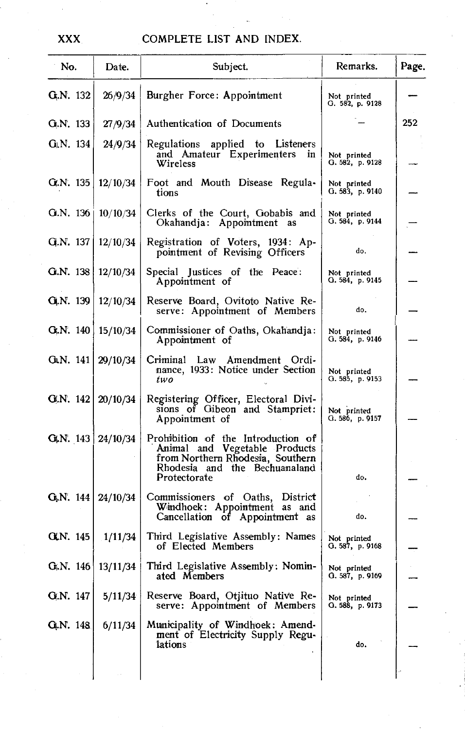| No.                              | Date.    | Subject.                                                                                                                                                 | Remarks.                       | Page. |
|----------------------------------|----------|----------------------------------------------------------------------------------------------------------------------------------------------------------|--------------------------------|-------|
| $GiN.$ 132                       | 26/9/34  | <b>Burgher Force: Appointment</b>                                                                                                                        | Not printed<br>G. 582, p. 9128 |       |
| G.N. 133                         | 27/9/34  | Authentication of Documents                                                                                                                              |                                | 252   |
| $G_l N. 134$                     | 24/9/34  | Regulations applied to Listeners<br>and Amateur Experimenters in<br>Wireless                                                                             | Not printed<br>G. 582, p. 9128 |       |
| Q.N. 135                         | 12/10/34 | Foot and Mouth Disease Regula-<br>tions                                                                                                                  | Not printed<br>G. 583, p.9140  |       |
| G.N. 136                         | 10/10/34 | Clerks of the Court, Gobabis and<br>Okahandja: Appointment as                                                                                            | Not printed<br>G.584, p.9144   |       |
| Q.N. 137                         | 12/10/34 | Registration of Voters, 1934: Ap-<br>pointment of Revising Officers                                                                                      | do.                            |       |
| G.N. 138                         | 12/10/34 | Special Justices of the Peace:<br>Appointment of                                                                                                         | Not printed<br>O. 584, p. 9145 |       |
| G.N. 139                         | 12/10/34 | Reserve Board, Ovitoto Native Re-<br>serve: Appointment of Members                                                                                       | do.                            |       |
| G.N. 140                         | 15/10/34 | Commissioner of Oaths, Okahandja:<br>Appointment of                                                                                                      | Not printed<br>G. 584, p. 9146 |       |
| GLN. $141 \mid 29/10/34$         |          | Criminal Law Amendment Ordi-<br>nance, 1933: Notice under Section<br>two                                                                                 | Not printed<br>G. 585, p. 9153 |       |
| G.N. $142 \mid 20/10/34$         |          | Registering Officer, Electoral Divi-<br>sions of Gibeon and Stampriet:<br>Appointment of                                                                 | Not printed<br>G. 586, p. 9157 |       |
| G.N. $143 \mid 24/10/34$         |          | Prohibition of the Introduction of<br>Animal and Vegetable Products<br>from Northern Rhodesia, Southern<br>Rhodesia and the Bechuanaland<br>Protectorate | do.                            |       |
| G <sub>r</sub> N. 144   24/10/34 |          | Commissioners of Oaths, District<br>Windhoek: Appointment as and<br>Cancellation of Appointment as                                                       | do.                            |       |
| GLN. 145                         | 1/11/34  | Third Legislative Assembly: Names<br>of Elected Members                                                                                                  | Not printed<br>G.587, p.9168   |       |
|                                  |          | G.N. 146   13/11/34   Third Legislative Assembly: Nomin-<br>ated Members                                                                                 | Not printed<br>G. 587, p. 9169 |       |
| G.N. 147                         | 5/11/34  | Reserve Board, Otjituo Native Re-<br>serve: Appointment of Members                                                                                       | Not printed<br>Q.588, p.9173   |       |
| G.N. 148                         | 6/11/34  | Municipality of Windhoek: Amend-<br>ment of Electricity Supply Regu-<br>lations                                                                          | do.                            |       |
|                                  |          |                                                                                                                                                          |                                |       |

**XXX**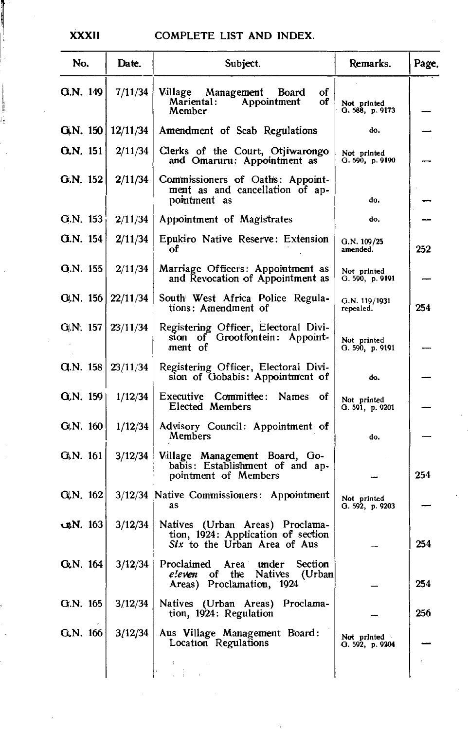### **XXXII**

### COMPLETE LIST AND INDEX.

| No.                      | Date.    | Subject.                                                                                              | Remarks.                       | Page. |
|--------------------------|----------|-------------------------------------------------------------------------------------------------------|--------------------------------|-------|
| GI.N. 149                | 7/11/34  | of<br>Village<br>Management Board<br>οf<br>Mariental:<br>Appointment<br>Member                        | Not printed<br>G. 588, p. 9173 |       |
| Q,N. 150                 | 12/11/34 | Amendment of Scab Regulations                                                                         | do,                            |       |
| $Q,N$ , 151              | 2/11/34  | Clerks of the Court, Otjiwarongo<br>and Omaruru: Appointment as                                       | Not printed<br>G.590, p.9190   |       |
| G.N. 152                 | 2/11/34  | Commissioners of Oaths: Appoint-<br>ment as and cancellation of ap-<br>pointment as                   | do.                            |       |
| G.N. 153                 | 2/11/34  | Appointment of Magistrates                                                                            | do.                            |       |
| <b>G.N. 154</b>          | 2/11/34  | Epukiro Native Reserve: Extension<br>оf                                                               | G.N. 109/25<br>amended.        | 252   |
| Q.N. 155                 | 2/11/34  | Marriage Officers: Appointment as<br>and Revocation of Appointment as                                 | Not printed<br>G.590, p.9191   |       |
| G.N. $156 \mid 22/11/34$ |          | South West Africa Police Regula-<br>tions: Amendment of                                               | G.N. 119/1931<br>repealed.     | 254   |
| G/N. 157                 | 23/11/34 | Registering Officer, Electoral Divi-<br>sion of Grootfontein: Appoint-<br>ment of                     | Not printed<br>G.590, p.9191   |       |
| GIN. 158                 | 23/11/34 | Registering Officer, Electoral Divi-<br>sion of Gobabis: Appointment of                               | do.                            |       |
| Q(N. 159)                | 1/12/34  | Executive Committee:<br>Names<br>οf<br>Elected Members                                                | Not printed<br>G. 591, p. 9201 |       |
| G.N. 160                 | 1/12/34  | Advisory Council: Appointment of<br>Members                                                           | do.                            |       |
| G.N. 161                 | 3/12/34  | Village Management Board, Go-<br>babis: Establishment of and ap-<br>pointment of Members              |                                | 254   |
| GLN. 162                 |          | 3/12/34 Native Commissioners: Appointment<br>as                                                       | Not printed<br>G. 592, p. 9203 |       |
| $\n  M. 163\n$           | 3/12/34  | Natives (Urban Areas) Proclama-<br>tion, 1924: Application of section<br>Six to the Urban Area of Aus |                                | 254   |
| G <sub>k</sub> N, 164    |          | 3/12/34 Proclaimed Area under Section<br>eleven of the Natives (Urban<br>Areas) Proclamation, 1924    |                                | 254   |
| G.N. 165                 | 3/12/34  | Natives (Urban Areas) Proclama-<br>tion, 1924: Regulation                                             |                                | 256   |
| G.N. 166                 | 3/12/34  | Aus Village Management Board:<br>Location Regulations                                                 | Not printed<br>Q. 592, p. 9204 |       |
|                          |          |                                                                                                       |                                |       |

T